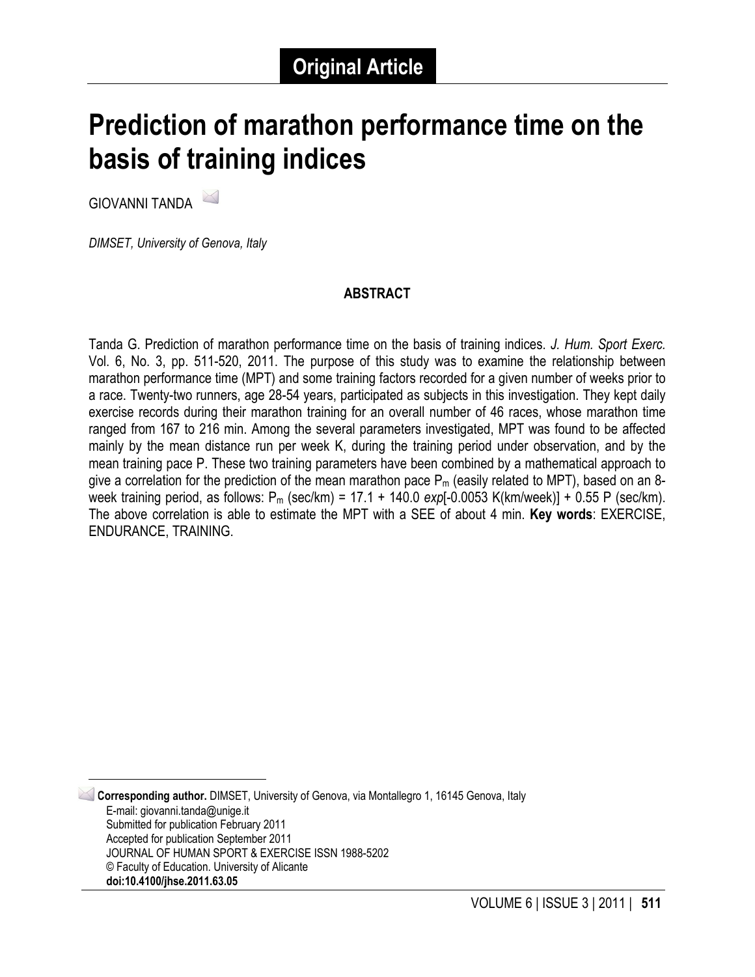# **Prediction of marathon performance time on the basis of training indices**

GIOVANNI TANDA [1](#page-0-0)

*DIMSET, University of Genova, Italy*

#### **ABSTRACT**

Tanda G. Prediction of marathon performance time on the basis of training indices. *J. Hum. Sport Exerc.*  Vol. 6, No. 3, pp. 511-520, 2011. The purpose of this study was to examine the relationship between marathon performance time (MPT) and some training factors recorded for a given number of weeks prior to a race. Twenty-two runners, age 28-54 years, participated as subjects in this investigation. They kept daily exercise records during their marathon training for an overall number of 46 races, whose marathon time ranged from 167 to 216 min. Among the several parameters investigated, MPT was found to be affected mainly by the mean distance run per week K, during the training period under observation, and by the mean training pace P. These two training parameters have been combined by a mathematical approach to give a correlation for the prediction of the mean marathon pace  $P_m$  (easily related to MPT), based on an 8week training period, as follows: Pm (sec/km) = 17.1 + 140.0 *exp*[-0.0053 K(km/week)] + 0.55 P (sec/km). The above correlation is able to estimate the MPT with a SEE of about 4 min. **Key words**: EXERCISE, ENDURANCE, TRAINING.

<span id="page-0-0"></span> 1 **Corresponding author.** DIMSET, University of Genova, via Montallegro 1, 16145 Genova, Italy E-mail: giovanni.tanda@unige.it Submitted for publication February 2011 Accepted for publication September 2011 JOURNAL OF HUMAN SPORT & EXERCISE ISSN 1988-5202 © Faculty of Education. University of Alicante **doi:10.4100/jhse.2011.63.05**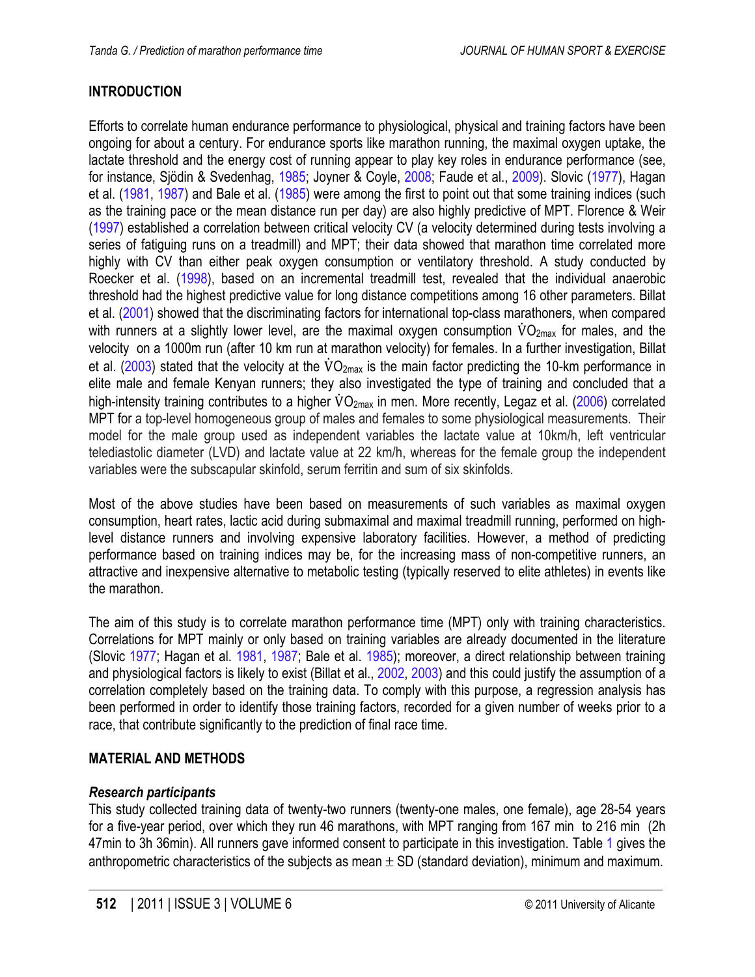# <span id="page-1-0"></span>**INTRODUCTION**

Efforts to correlate human endurance performance to physiological, physical and training factors have been ongoing for about a century. For endurance sports like marathon running, the maximal oxygen uptake, the lactate threshold and the energy cost of running appear to play key roles in endurance performance (see, for instance, Sjödin & Svedenhag, [1985;](#page-9-0) Joyner & Coyle, [2008;](#page-9-0) Faude et al., [2009\).](#page-9-0) Slovic ([1977\),](#page-9-0) Hagan et al. ([1981,](#page-9-0) [1987\)](#page-9-0) and Bale et al. [\(1985\)](#page-8-0) were among the first to point out that some training indices (such as the training pace or the mean distance run per day) are also highly predictive of MPT. Florence & Weir [\(1997\)](#page-9-0) established a correlation between critical velocity CV (a velocity determined during tests involving a series of fatiguing runs on a treadmill) and MPT; their data showed that marathon time correlated more highly with CV than either peak oxygen consumption or ventilatory threshold. A study conducted by Roecker et al. [\(1998\),](#page-9-0) based on an incremental treadmill test, revealed that the individual anaerobic threshold had the highest predictive value for long distance competitions among 16 other parameters. Billat et al. ([2001\)](#page-9-0) showed that the discriminating factors for international top-class marathoners, when compared with runners at a slightly lower level, are the maximal oxygen consumption  $\rm VO_{2max}$  for males, and the velocity on a 1000m run (after 10 km run at marathon velocity) for females. In a further investigation, Billat et al. [\(2003\)](#page-9-0) stated that the velocity at the  $\rm VO_{2max}$  is the main factor predicting the 10-km performance in elite male and female Kenyan runners; they also investigated the type of training and concluded that a high-intensity training contributes to a higher VO<sub>2max</sub> in men. More recently, Legaz et al. ([2006\)](#page-9-0) correlated MPT for a top-level homogeneous group of males and females to some physiological measurements. Their model for the male group used as independent variables the lactate value at 10km/h, left ventricular telediastolic diameter (LVD) and lactate value at 22 km/h, whereas for the female group the independent variables were the subscapular skinfold, serum ferritin and sum of six skinfolds.

Most of the above studies have been based on measurements of such variables as maximal oxygen consumption, heart rates, lactic acid during submaximal and maximal treadmill running, performed on highlevel distance runners and involving expensive laboratory facilities. However, a method of predicting performance based on training indices may be, for the increasing mass of non-competitive runners, an attractive and inexpensive alternative to metabolic testing (typically reserved to elite athletes) in events like the marathon.

The aim of this study is to correlate marathon performance time (MPT) only with training characteristics. Correlations for MPT mainly or only based on training variables are already documented in the literature (Slovic [1977;](#page-9-0) Hagan et al. [1981,](#page-9-0) [1987;](#page-9-0) Bale et al. [1985\);](#page-8-0) moreover, a direct relationship between training and physiological factors is likely to exist (Billat et al., [2002,](#page-9-0) [2003\)](#page-9-0) and this could justify the assumption of a correlation completely based on the training data. To comply with this purpose, a regression analysis has been performed in order to identify those training factors, recorded for a given number of weeks prior to a race, that contribute significantly to the prediction of final race time.

## **MATERIAL AND METHODS**

## *Research participants*

This study collected training data of twenty-two runners (twenty-one males, one female), age 28-54 years for a five-year period, over which they run 46 marathons, with MPT ranging from 167 min to 216 min (2h 47min to 3h 36min). All runners gave informed consent to participate in this investigation. Table [1](#page-2-0) gives the anthropometric characteristics of the subjects as mean  $\pm$  SD (standard deviation), minimum and maximum.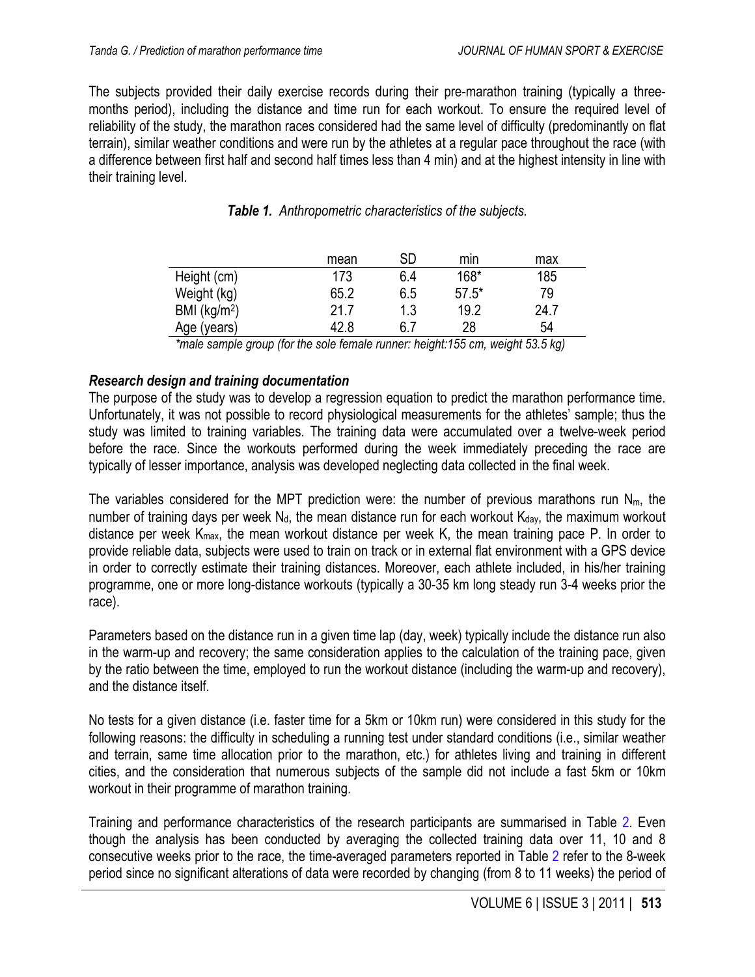<span id="page-2-0"></span>The subjects provided their daily exercise records during their pre-marathon training (typically a threemonths period), including the distance and time run for each workout. To ensure the required level of reliability of the study, the marathon races considered had the same level of difficulty (predominantly on flat terrain), similar weather conditions and were run by the athletes at a regular pace throughout the race (with a difference between first half and second half times less than 4 min) and at the highest intensity in line with their training level.

|                 | mean | SD  | min     | max  |
|-----------------|------|-----|---------|------|
| Height (cm)     | 173  | 6.4 | $168*$  | 185  |
| Weight (kg)     | 65.2 | 6.5 | $57.5*$ | 79   |
| BMI ( $kg/m2$ ) | 21.7 | 1.3 | 19.2    | 24.7 |
| Age (years)     | 42.8 | 6.7 | 28      | 54   |

|  | Table 1. Anthropometric characteristics of the subjects. |  |  |  |
|--|----------------------------------------------------------|--|--|--|
|--|----------------------------------------------------------|--|--|--|

*\*male sample group (for the sole female runner: height:155 cm, weight 53.5 kg)*

## *Research design and training documentation*

The purpose of the study was to develop a regression equation to predict the marathon performance time. Unfortunately, it was not possible to record physiological measurements for the athletes' sample; thus the study was limited to training variables. The training data were accumulated over a twelve-week period before the race. Since the workouts performed during the week immediately preceding the race are typically of lesser importance, analysis was developed neglecting data collected in the final week.

The variables considered for the MPT prediction were: the number of previous marathons run  $N_{m}$ , the number of training days per week  $N_d$ , the mean distance run for each workout  $K_{day}$ , the maximum workout distance per week  $K_{max}$ , the mean workout distance per week K, the mean training pace P. In order to provide reliable data, subjects were used to train on track or in external flat environment with a GPS device in order to correctly estimate their training distances. Moreover, each athlete included, in his/her training programme, one or more long-distance workouts (typically a 30-35 km long steady run 3-4 weeks prior the race).

Parameters based on the distance run in a given time lap (day, week) typically include the distance run also in the warm-up and recovery; the same consideration applies to the calculation of the training pace, given by the ratio between the time, employed to run the workout distance (including the warm-up and recovery), and the distance itself.

No tests for a given distance (i.e. faster time for a 5km or 10km run) were considered in this study for the following reasons: the difficulty in scheduling a running test under standard conditions (i.e., similar weather and terrain, same time allocation prior to the marathon, etc.) for athletes living and training in different cities, and the consideration that numerous subjects of the sample did not include a fast 5km or 10km workout in their programme of marathon training.

Training and performance characteristics of the research participants are summarised in Table [2](#page-3-0). Even though the analysis has been conducted by averaging the collected training data over 11, 10 and 8 consecutive weeks prior to the race, the time-averaged parameters reported in Table [2](#page-3-0) refer to the 8-week period since no significant alterations of data were recorded by changing (from 8 to 11 weeks) the period of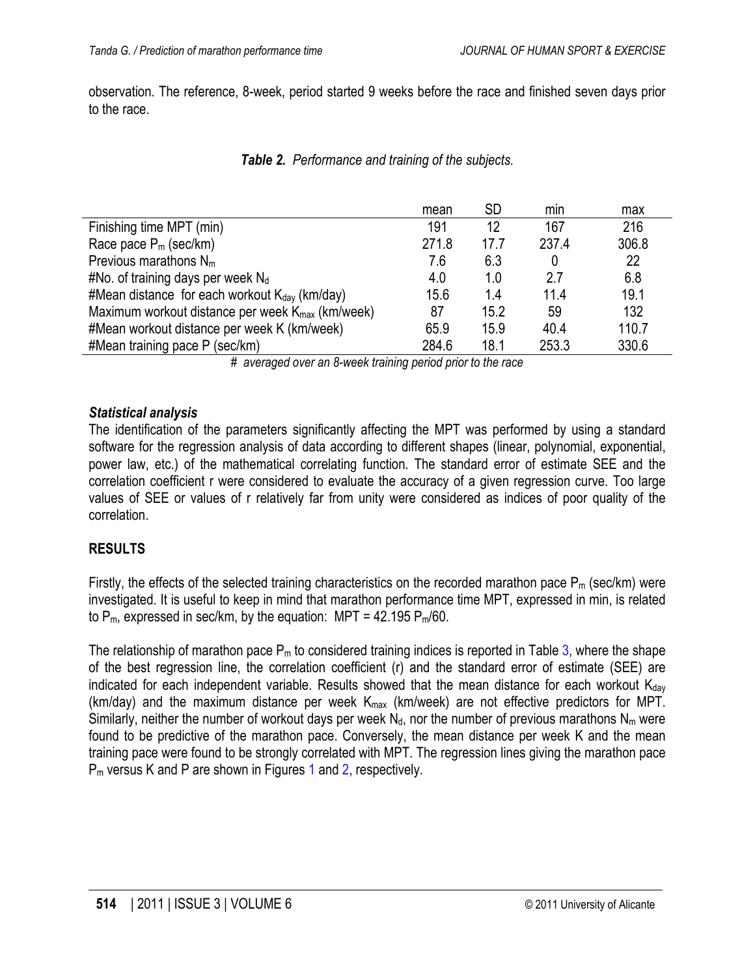<span id="page-3-0"></span>observation. The reference, 8-week, period started 9 weeks before the race and finished seven days prior to the race.

|                                                              | mean  | SD   | min   | max   |
|--------------------------------------------------------------|-------|------|-------|-------|
| Finishing time MPT (min)                                     | 191   | 12   | 167   | 216   |
| Race pace $P_m$ (sec/km)                                     | 271.8 | 17.7 | 237.4 | 306.8 |
| Previous marathons $N_m$                                     | 7.6   | 6.3  |       | 22    |
| #No. of training days per week $N_d$                         | 4.0   | 1.0  | 27    | 6.8   |
| #Mean distance for each workout $K_{day}$ (km/day)           | 15.6  | 1.4  | 11.4  | 19.1  |
| Maximum workout distance per week $K_{\text{max}}$ (km/week) | 87    | 15.2 | 59    | 132   |
| #Mean workout distance per week K (km/week)                  | 65.9  | 15.9 | 40.4  | 110.7 |
| #Mean training pace $P$ (sec/km)                             | 284.6 | 18.1 | 253.3 | 330.6 |

#### *Table 2. Performance and training of the subjects.*

*# averaged over an 8-week training period prior to the race*

#### *Statistical analysis*

The identification of the parameters significantly affecting the MPT was performed by using a standard software for the regression analysis of data according to different shapes (linear, polynomial, exponential, power law, etc.) of the mathematical correlating function. The standard error of estimate SEE and the correlation coefficient r were considered to evaluate the accuracy of a given regression curve. Too large values of SEE or values of r relatively far from unity were considered as indices of poor quality of the correlation.

## **RESULTS**

Firstly, the effects of the selected training characteristics on the recorded marathon pace  $P_m$  (sec/km) were investigated. It is useful to keep in mind that marathon performance time MPT, expressed in min, is related to  $P_m$ , expressed in sec/km, by the equation: MPT = 42.195  $P_m/60$ .

The relationship of marathon pace  $P_m$  to considered training indices is reported in Table [3,](#page-4-0) where the shape of the best regression line, the correlation coefficient (r) and the standard error of estimate (SEE) are indicated for each independent variable. Results showed that the mean distance for each workout  $K_{day}$ (km/day) and the maximum distance per week  $K_{max}$  (km/week) are not effective predictors for MPT. Similarly, neither the number of workout days per week  $N_d$ , nor the number of previous marathons  $N_m$  were found to be predictive of the marathon pace. Conversely, the mean distance per week K and the mean training pace were found to be strongly correlated with MPT. The regression lines giving the marathon pace P<sub>m</sub> versus K and P are shown in Figures [1](#page-4-0) and [2](#page-5-0), respectively.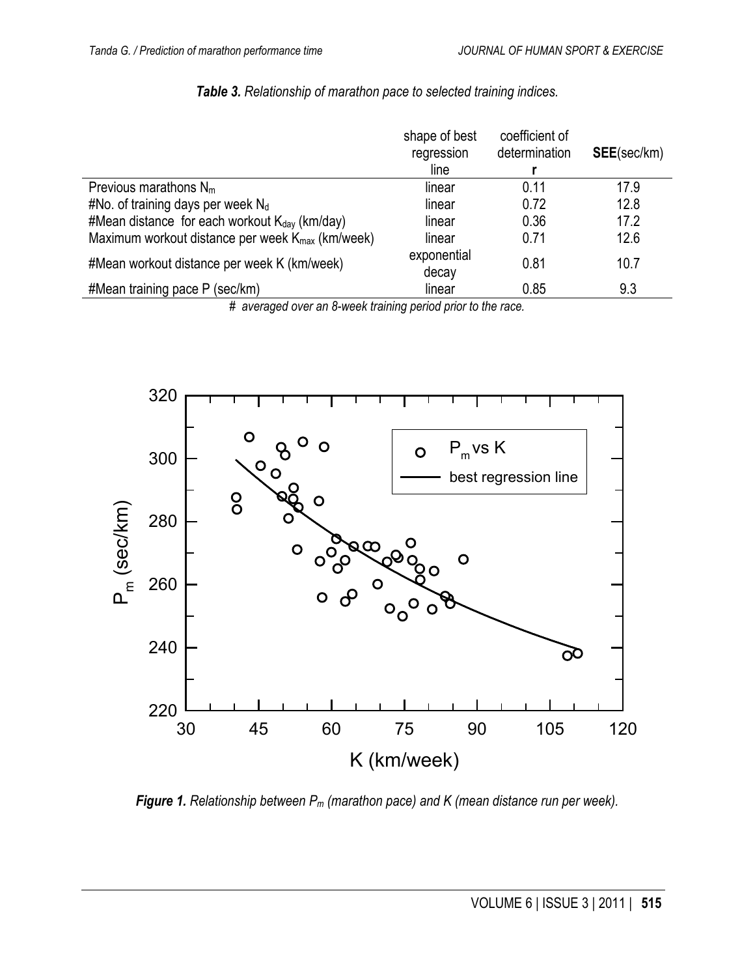<span id="page-4-0"></span>

|                                                              | shape of best<br>regression<br>line | coefficient of<br>determination | <b>SEE</b> (sec/km) |
|--------------------------------------------------------------|-------------------------------------|---------------------------------|---------------------|
| Previous marathons $N_m$                                     | linear                              | 0.11                            | 17.9                |
| #No. of training days per week $N_d$                         | linear                              | 0.72                            | 12.8                |
| #Mean distance for each workout $K_{\text{dav}}$ (km/day)    | linear                              | 0.36                            | 17.2                |
| Maximum workout distance per week $K_{\text{max}}$ (km/week) | linear                              | 0.71                            | 12.6                |
| #Mean workout distance per week K (km/week)                  | exponential<br>decay                | 0.81                            | 10.7                |
| #Mean training pace P (sec/km)                               | linear                              | 0.85                            | 9.3                 |

#### *Table 3. Relationship of marathon pace to selected training indices.*

*# averaged over an 8-week training period prior to the race.*



*Figure 1. Relationship between Pm (marathon pace) and K (mean distance run per week).*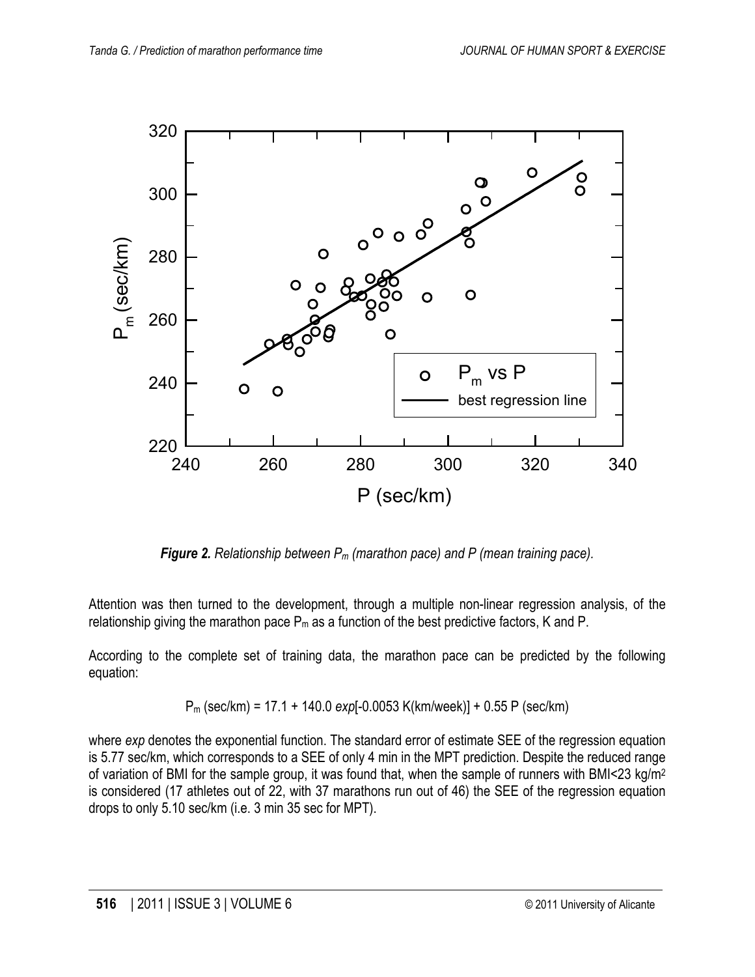<span id="page-5-0"></span>

*Figure 2. Relationship between Pm (marathon pace) and P (mean training pace).*

Attention was then turned to the development, through a multiple non-linear regression analysis, of the relationship giving the marathon pace  $P_m$  as a function of the best predictive factors, K and P.

According to the complete set of training data, the marathon pace can be predicted by the following equation:

$$
P_m
$$
 (sec/km) = 17.1 + 140.0 exp[-0.0053 K(km/week)] + 0.55 P (sec/km)

where *exp* denotes the exponential function. The standard error of estimate SEE of the regression equation is 5.77 sec/km, which corresponds to a SEE of only 4 min in the MPT prediction. Despite the reduced range of variation of BMI for the sample group, it was found that, when the sample of runners with BMI<23 kg/m2 is considered (17 athletes out of 22, with 37 marathons run out of 46) the SEE of the regression equation drops to only 5.10 sec/km (i.e. 3 min 35 sec for MPT).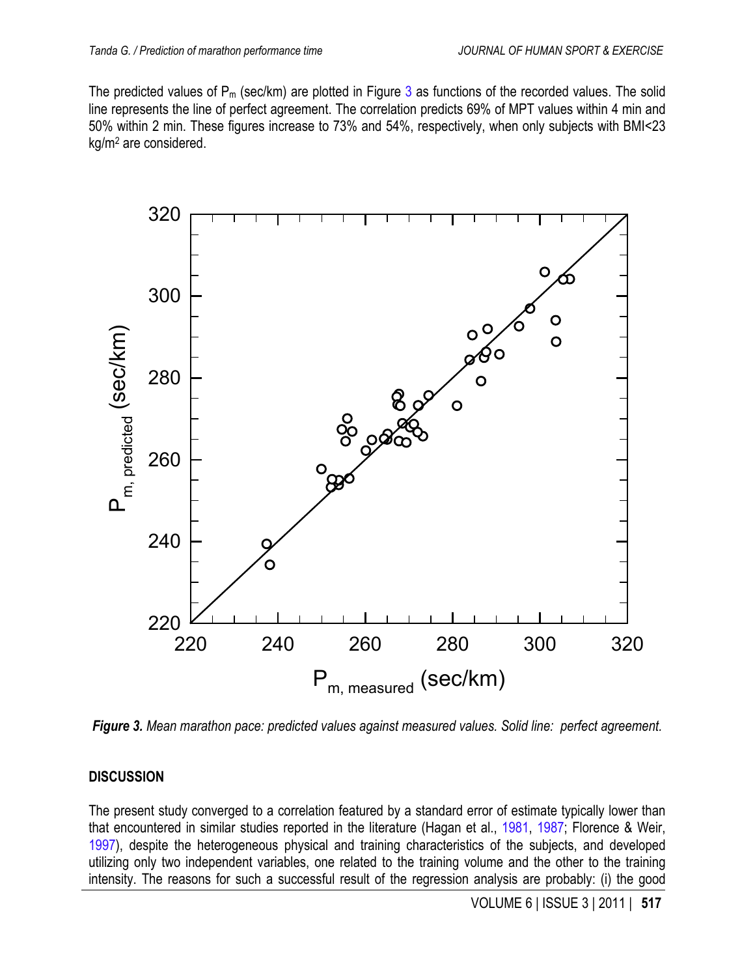The predicted values of  $P_m$  (sec/km) are plotted in Figure 3 as functions of the recorded values. The solid line represents the line of perfect agreement. The correlation predicts 69% of MPT values within 4 min and 50% within 2 min. These figures increase to 73% and 54%, respectively, when only subjects with BMI<23 kg/m2 are considered.



*Figure 3. Mean marathon pace: predicted values against measured values. Solid line: perfect agreement.*

## **DISCUSSION**

The present study converged to a correlation featured by a standard error of estimate typically lower than that encountered in similar studies reported in the literature (Hagan et al., [1981,](#page-9-0) [1987;](#page-9-0) Florence & Weir, [1997\),](#page-9-0) despite the heterogeneous physical and training characteristics of the subjects, and developed utilizing only two independent variables, one related to the training volume and the other to the training intensity. The reasons for such a successful result of the regression analysis are probably: (i) the good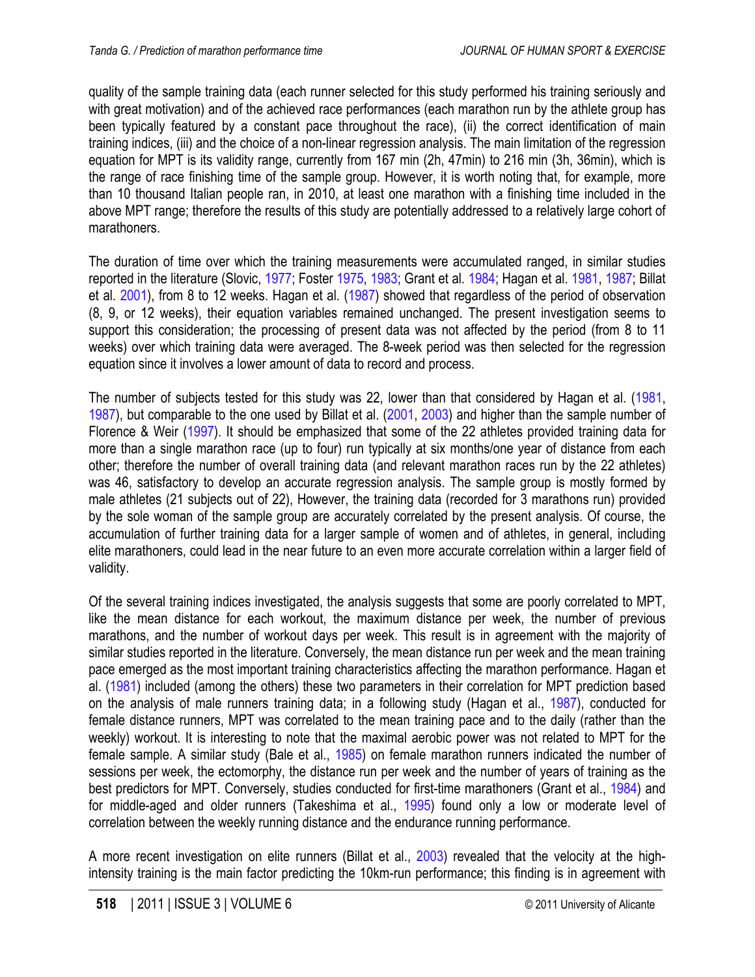<span id="page-7-0"></span>quality of the sample training data (each runner selected for this study performed his training seriously and with great motivation) and of the achieved race performances (each marathon run by the athlete group has been typically featured by a constant pace throughout the race), (ii) the correct identification of main training indices, (iii) and the choice of a non-linear regression analysis. The main limitation of the regression equation for MPT is its validity range, currently from 167 min (2h, 47min) to 216 min (3h, 36min), which is the range of race finishing time of the sample group. However, it is worth noting that, for example, more than 10 thousand Italian people ran, in 2010, at least one marathon with a finishing time included in the above MPT range; therefore the results of this study are potentially addressed to a relatively large cohort of marathoners.

The duration of time over which the training measurements were accumulated ranged, in similar studies reported in the literature (Slovic, [1977;](#page-9-0) Foster [1975,](#page-9-0) [1983;](#page-9-0) Grant et al. [1984;](#page-9-0) Hagan et al. [1981,](#page-9-0) [1987;](#page-9-0) Billat et al. [2001\),](#page-9-0) from 8 to 12 weeks. Hagan et al. [\(1987\)](#page-9-0) showed that regardless of the period of observation (8, 9, or 12 weeks), their equation variables remained unchanged. The present investigation seems to support this consideration; the processing of present data was not affected by the period (from 8 to 11 weeks) over which training data were averaged. The 8-week period was then selected for the regression equation since it involves a lower amount of data to record and process.

The number of subjects tested for this study was 22, lower than that considered by Hagan et al. [\(1981,](#page-9-0) [1987\),](#page-9-0) but comparable to the one used by Billat et al. [\(2001,](#page-9-0) [2003\)](#page-9-0) and higher than the sample number of Florence & Weir (1997). It should be emphasized that some of the 22 athletes provided training data for more than a single marathon race (up to four) run typically at six months/one year of distance from each other; therefore the number of overall training data (and relevant marathon races run by the 22 athletes) was 46, satisfactory to develop an accurate regression analysis. The sample group is mostly formed by male athletes (21 subjects out of 22), However, the training data (recorded for 3 marathons run) provided by the sole woman of the sample group are accurately correlated by the present analysis. Of course, the accumulation of further training data for a larger sample of women and of athletes, in general, including elite marathoners, could lead in the near future to an even more accurate correlation within a larger field of validity.

Of the several training indices investigated, the analysis suggests that some are poorly correlated to MPT, like the mean distance for each workout, the maximum distance per week, the number of previous marathons, and the number of workout days per week. This result is in agreement with the majority of similar studies reported in the literature. Conversely, the mean distance run per week and the mean training pace emerged as the most important training characteristics affecting the marathon performance. Hagan et al. [\(1981\)](#page-9-0) included (among the others) these two parameters in their correlation for MPT prediction based on the analysis of male runners training data; in a following study (Hagan et al., [1987\),](#page-9-0) conducted for female distance runners, MPT was correlated to the mean training pace and to the daily (rather than the weekly) workout. It is interesting to note that the maximal aerobic power was not related to MPT for the female sample. A similar study (Bale et al., [1985\)](#page-8-0) on female marathon runners indicated the number of sessions per week, the ectomorphy, the distance run per week and the number of years of training as the best predictors for MPT. Conversely, studies conducted for first-time marathoners (Grant et al., [1984\)](#page-9-0) and for middle-aged and older runners (Takeshima et al., [1995\)](#page-9-0) found only a low or moderate level of correlation between the weekly running distance and the endurance running performance.

A more recent investigation on elite runners (Billat et al., [2003\)](#page-9-0) revealed that the velocity at the highintensity training is the main factor predicting the 10km-run performance; this finding is in agreement with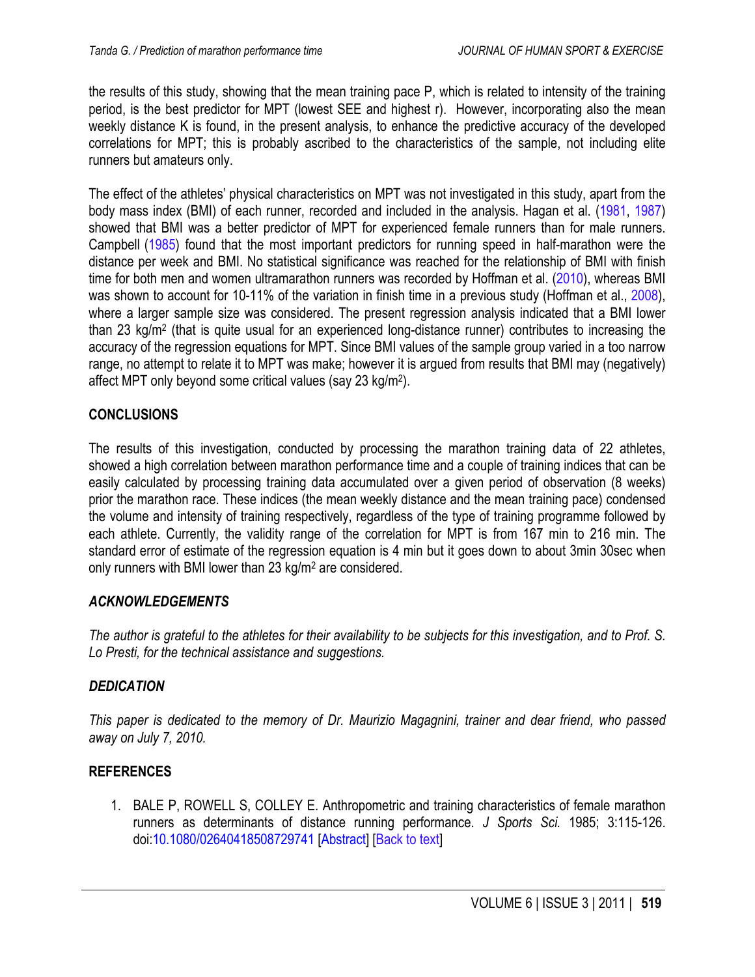<span id="page-8-0"></span>the results of this study, showing that the mean training pace P, which is related to intensity of the training period, is the best predictor for MPT (lowest SEE and highest r). However, incorporating also the mean weekly distance K is found, in the present analysis, to enhance the predictive accuracy of the developed correlations for MPT; this is probably ascribed to the characteristics of the sample, not including elite runners but amateurs only.

The effect of the athletes' physical characteristics on MPT was not investigated in this study, apart from the body mass index (BMI) of each runner, recorded and included in the analysis. Hagan et al. [\(1981,](#page-9-0) [1987\)](#page-9-0) showed that BMI was a better predictor of MPT for experienced female runners than for male runners. Campbell [\(1985\)](#page-9-0) found that the most important predictors for running speed in half-marathon were the distance per week and BMI. No statistical significance was reached for the relationship of BMI with finish time for both men and women ultramarathon runners was recorded by Hoffman et al. [\(2010\),](#page-9-0) whereas BMI was shown to account for 10-11% of the variation in finish time in a previous study (Hoffman et al., 2008), where a larger sample size was considered. The present regression analysis indicated that a BMI lower than 23 kg/m2 (that is quite usual for an experienced long-distance runner) contributes to increasing the accuracy of the regression equations for MPT. Since BMI values of the sample group varied in a too narrow range, no attempt to relate it to MPT was make; however it is argued from results that BMI may (negatively) affect MPT only beyond some critical values (say 23 kg/m2).

#### **CONCLUSIONS**

The results of this investigation, conducted by processing the marathon training data of 22 athletes, showed a high correlation between marathon performance time and a couple of training indices that can be easily calculated by processing training data accumulated over a given period of observation (8 weeks) prior the marathon race. These indices (the mean weekly distance and the mean training pace) condensed the volume and intensity of training respectively, regardless of the type of training programme followed by each athlete. Currently, the validity range of the correlation for MPT is from 167 min to 216 min. The standard error of estimate of the regression equation is 4 min but it goes down to about 3min 30sec when only runners with BMI lower than 23 kg/m2 are considered.

## *ACKNOWLEDGEMENTS*

*The author is grateful to the athletes for their availability to be subjects for this investigation, and to Prof. S. Lo Presti, for the technical assistance and suggestions.* 

#### *DEDICATION*

*This paper is dedicated to the memory of Dr. Maurizio Magagnini, trainer and dear friend, who passed away on July 7, 2010.*

#### **REFERENCES**

1. BALE P, ROWELL S, COLLEY E. Anthropometric and training characteristics of female marathon runners as determinants of distance running performance. *J Sports Sci.* 1985; 3:115-126. [doi:10.1080/02640418508729741](http://dx.doi.org/10.1080/02640418508729741) [\[Abstract\]](http://www.tandfonline.com/doi/abs/10.1080/02640418508729741?url_ver=Z39.88-2003&rfr_id=ori:rid:crossref.org&rfr_dat=cr_pub%3dpubmed) [[Back to text](#page-1-0)]